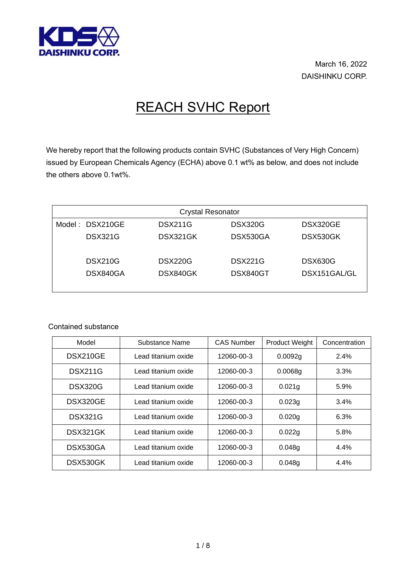

March 16, 2022 DAISHINKU CORP.

## REACH SVHC Report

We hereby report that the following products contain SVHC (Substances of Very High Concern) issued by European Chemicals Agency (ECHA) above 0.1 wt% as below, and does not include the others above 0.1wt%.

| <b>Crystal Resonator</b> |                |                |                |  |
|--------------------------|----------------|----------------|----------------|--|
| Model: DSX210GE          | <b>DSX211G</b> | <b>DSX320G</b> | DSX320GE       |  |
| <b>DSX321G</b>           | DSX321GK       | DSX530GA       | DSX530GK       |  |
| <b>DSX210G</b>           | <b>DSX220G</b> | <b>DSX221G</b> | <b>DSX630G</b> |  |
| DSX840GA                 | DSX840GK       | DSX840GT       | DSX151GAL/GL   |  |

Contained substance

| Model          | Substance Name      | <b>CAS Number</b> | <b>Product Weight</b> | Concentration |
|----------------|---------------------|-------------------|-----------------------|---------------|
| DSX210GE       | Lead titanium oxide | 12060-00-3        | 0.0092g               | 2.4%          |
| <b>DSX211G</b> | Lead titanium oxide | 12060-00-3        | 0.0068q               | 3.3%          |
| DSX320G        | Lead titanium oxide | 12060-00-3        | 0.021g                | 5.9%          |
| DSX320GE       | Lead titanium oxide | 12060-00-3        | 0.023g                | 3.4%          |
| <b>DSX321G</b> | Lead titanium oxide | 12060-00-3        | 0.020g                | 6.3%          |
| DSX321GK       | Lead titanium oxide | 12060-00-3        | 0.022g                | 5.8%          |
| DSX530GA       | Lead titanium oxide | 12060-00-3        | 0.048g                | 4.4%          |
| DSX530GK       | Lead titanium oxide | 12060-00-3        | 0.048g                | 4.4%          |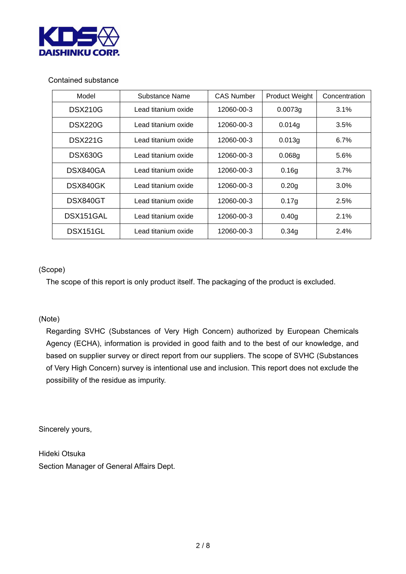

## Contained substance

| Model          | Substance Name       | <b>CAS Number</b> | <b>Product Weight</b> | Concentration |
|----------------|----------------------|-------------------|-----------------------|---------------|
| <b>DSX210G</b> | Lead titanium oxide  | 12060-00-3        | 0.0073g               | 3.1%          |
| <b>DSX220G</b> | Lead titanium oxide  | 12060-00-3        | 0.014g                | 3.5%          |
| <b>DSX221G</b> | Lead titanium oxide. | 12060-00-3        | 0.013g                | 6.7%          |
| <b>DSX630G</b> | Lead titanium oxide  | 12060-00-3        | 0.068g                | 5.6%          |
| DSX840GA       | Lead titanium oxide  | 12060-00-3        | 0.16 <sub>q</sub>     | 3.7%          |
| DSX840GK       | Lead titanium oxide  | 12060-00-3        | 0.20 <sub>q</sub>     | 3.0%          |
| DSX840GT       | Lead titanium oxide  | 12060-00-3        | 0.17g                 | 2.5%          |
| DSX151GAL      | Lead titanium oxide  | 12060-00-3        | 0.40 <sub>q</sub>     | 2.1%          |
| DSX151GL       | Lead titanium oxide  | 12060-00-3        | 0.34g                 | 2.4%          |

## (Scope)

The scope of this report is only product itself. The packaging of the product is excluded.

## (Note)

Regarding SVHC (Substances of Very High Concern) authorized by European Chemicals Agency (ECHA), information is provided in good faith and to the best of our knowledge, and based on supplier survey or direct report from our suppliers. The scope of SVHC (Substances of Very High Concern) survey is intentional use and inclusion. This report does not exclude the possibility of the residue as impurity.

Sincerely yours,

Hideki Otsuka Section Manager of General Affairs Dept.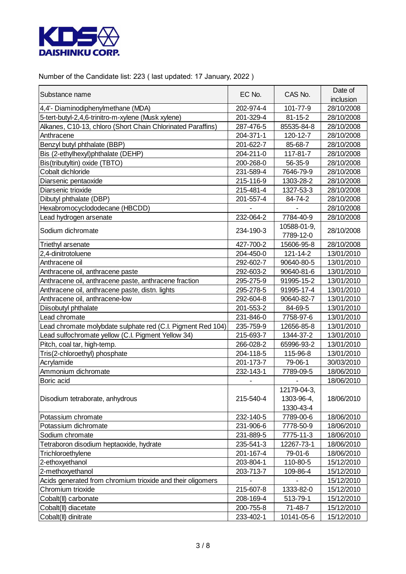

Number of the Candidate list: 223 ( last updated: 17 January, 2022 )

| Substance name                                              | EC No.    | CAS No.       | Date of    |
|-------------------------------------------------------------|-----------|---------------|------------|
|                                                             |           |               | inclusion  |
| 4,4'- Diaminodiphenylmethane (MDA)                          | 202-974-4 | 101-77-9      | 28/10/2008 |
| 5-tert-butyl-2,4,6-trinitro-m-xylene (Musk xylene)          | 201-329-4 | $81 - 15 - 2$ | 28/10/2008 |
| Alkanes, C10-13, chloro (Short Chain Chlorinated Paraffins) | 287-476-5 | 85535-84-8    | 28/10/2008 |
| Anthracene                                                  | 204-371-1 | 120-12-7      | 28/10/2008 |
| Benzyl butyl phthalate (BBP)                                | 201-622-7 | 85-68-7       | 28/10/2008 |
| Bis (2-ethylhexyl)phthalate (DEHP)                          | 204-211-0 | 117-81-7      | 28/10/2008 |
| Bis(tributyltin) oxide (TBTO)                               | 200-268-0 | 56-35-9       | 28/10/2008 |
| Cobalt dichloride                                           | 231-589-4 | 7646-79-9     | 28/10/2008 |
| Diarsenic pentaoxide                                        | 215-116-9 | 1303-28-2     | 28/10/2008 |
| Diarsenic trioxide                                          | 215-481-4 | 1327-53-3     | 28/10/2008 |
| Dibutyl phthalate (DBP)                                     | 201-557-4 | 84-74-2       | 28/10/2008 |
| Hexabromocyclododecane (HBCDD)                              |           |               | 28/10/2008 |
| Lead hydrogen arsenate                                      | 232-064-2 | 7784-40-9     | 28/10/2008 |
| Sodium dichromate                                           |           | 10588-01-9,   |            |
|                                                             | 234-190-3 | 7789-12-0     | 28/10/2008 |
| Triethyl arsenate                                           | 427-700-2 | 15606-95-8    | 28/10/2008 |
| 2,4-dinitrotoluene                                          | 204-450-0 | 121-14-2      | 13/01/2010 |
| Anthracene oil                                              | 292-602-7 | 90640-80-5    | 13/01/2010 |
| Anthracene oil, anthracene paste                            | 292-603-2 | 90640-81-6    | 13/01/2010 |
| Anthracene oil, anthracene paste, anthracene fraction       | 295-275-9 | 91995-15-2    | 13/01/2010 |
| Anthracene oil, anthracene paste, distn. lights             | 295-278-5 | 91995-17-4    | 13/01/2010 |
| Anthracene oil, anthracene-low                              | 292-604-8 | 90640-82-7    | 13/01/2010 |
| Diisobutyl phthalate                                        | 201-553-2 | 84-69-5       | 13/01/2010 |
| Lead chromate                                               | 231-846-0 | 7758-97-6     | 13/01/2010 |
| Lead chromate molybdate sulphate red (C.I. Pigment Red 104) | 235-759-9 | 12656-85-8    | 13/01/2010 |
| Lead sulfochromate yellow (C.I. Pigment Yellow 34)          | 215-693-7 | 1344-37-2     | 13/01/2010 |
| Pitch, coal tar, high-temp.                                 | 266-028-2 | 65996-93-2    | 13/01/2010 |
| Tris(2-chloroethyl) phosphate                               | 204-118-5 | 115-96-8      | 13/01/2010 |
| Acrylamide                                                  | 201-173-7 | 79-06-1       | 30/03/2010 |
| Ammonium dichromate                                         | 232-143-1 | 7789-09-5     | 18/06/2010 |
| Boric acid                                                  |           |               | 18/06/2010 |
|                                                             |           | 12179-04-3,   |            |
| Disodium tetraborate, anhydrous                             | 215-540-4 | 1303-96-4,    | 18/06/2010 |
|                                                             |           | 1330-43-4     |            |
| Potassium chromate                                          | 232-140-5 | 7789-00-6     | 18/06/2010 |
| Potassium dichromate                                        | 231-906-6 | 7778-50-9     | 18/06/2010 |
| Sodium chromate                                             | 231-889-5 | 7775-11-3     | 18/06/2010 |
| Tetraboron disodium heptaoxide, hydrate                     | 235-541-3 | 12267-73-1    | 18/06/2010 |
| Trichloroethylene                                           | 201-167-4 | 79-01-6       | 18/06/2010 |
| 2-ethoxyethanol                                             | 203-804-1 | 110-80-5      | 15/12/2010 |
| 2-methoxyethanol                                            | 203-713-7 | 109-86-4      | 15/12/2010 |
| Acids generated from chromium trioxide and their oligomers  |           |               | 15/12/2010 |
| Chromium trioxide                                           | 215-607-8 | 1333-82-0     | 15/12/2010 |
| Cobalt(II) carbonate                                        | 208-169-4 | 513-79-1      | 15/12/2010 |
| Cobalt(II) diacetate                                        | 200-755-8 | 71-48-7       | 15/12/2010 |
| Cobalt(II) dinitrate                                        | 233-402-1 | 10141-05-6    | 15/12/2010 |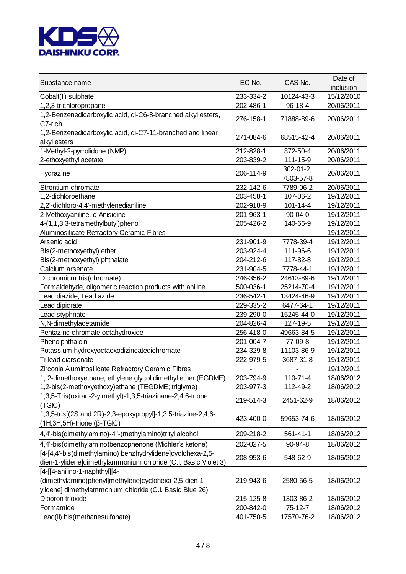

| Substance name                                                                                                                                    | EC No.    | CAS No.                       | Date of<br>inclusion |
|---------------------------------------------------------------------------------------------------------------------------------------------------|-----------|-------------------------------|----------------------|
| Cobalt(II) sulphate                                                                                                                               | 233-334-2 | 10124-43-3                    | 15/12/2010           |
| 1,2,3-trichloropropane                                                                                                                            | 202-486-1 | 96-18-4                       | 20/06/2011           |
| 1,2-Benzenedicarboxylic acid, di-C6-8-branched alkyl esters,<br>C7-rich                                                                           | 276-158-1 | 71888-89-6                    | 20/06/2011           |
| 1,2-Benzenedicarboxylic acid, di-C7-11-branched and linear<br>alkyl esters                                                                        | 271-084-6 | 68515-42-4                    | 20/06/2011           |
| 1-Methyl-2-pyrrolidone (NMP)                                                                                                                      | 212-828-1 | 872-50-4                      | 20/06/2011           |
| 2-ethoxyethyl acetate                                                                                                                             | 203-839-2 | 111-15-9                      | 20/06/2011           |
| Hydrazine                                                                                                                                         | 206-114-9 | $302 - 01 - 2$ ,<br>7803-57-8 | 20/06/2011           |
| Strontium chromate                                                                                                                                | 232-142-6 | 7789-06-2                     | 20/06/2011           |
| 1,2-dichloroethane                                                                                                                                | 203-458-1 | 107-06-2                      | 19/12/2011           |
| 2,2'-dichloro-4,4'-methylenedianiline                                                                                                             | 202-918-9 | $101 - 14 - 4$                | 19/12/2011           |
| 2-Methoxyaniline, o-Anisidine                                                                                                                     | 201-963-1 | $90 - 04 - 0$                 | 19/12/2011           |
| 4-(1,1,3,3-tetramethylbutyl)phenol                                                                                                                | 205-426-2 | 140-66-9                      | 19/12/2011           |
| Aluminosilicate Refractory Ceramic Fibres                                                                                                         |           |                               | 19/12/2011           |
| Arsenic acid                                                                                                                                      | 231-901-9 | 7778-39-4                     | 19/12/2011           |
| Bis(2-methoxyethyl) ether                                                                                                                         | 203-924-4 | 111-96-6                      | 19/12/2011           |
| Bis(2-methoxyethyl) phthalate                                                                                                                     | 204-212-6 | 117-82-8                      | 19/12/2011           |
| Calcium arsenate                                                                                                                                  | 231-904-5 | 7778-44-1                     | 19/12/2011           |
| Dichromium tris(chromate)                                                                                                                         | 246-356-2 | 24613-89-6                    | 19/12/2011           |
| Formaldehyde, oligomeric reaction products with aniline                                                                                           | 500-036-1 | 25214-70-4                    | 19/12/2011           |
| Lead diazide, Lead azide                                                                                                                          | 236-542-1 | 13424-46-9                    | 19/12/2011           |
| Lead dipicrate                                                                                                                                    | 229-335-2 | 6477-64-1                     | 19/12/2011           |
| Lead styphnate                                                                                                                                    | 239-290-0 | 15245-44-0                    | 19/12/2011           |
| N,N-dimethylacetamide                                                                                                                             | 204-826-4 | 127-19-5                      | 19/12/2011           |
| Pentazinc chromate octahydroxide                                                                                                                  | 256-418-0 | 49663-84-5                    | 19/12/2011           |
| Phenolphthalein                                                                                                                                   | 201-004-7 | 77-09-8                       | 19/12/2011           |
| Potassium hydroxyoctaoxodizincatedichromate                                                                                                       | 234-329-8 | 11103-86-9                    | 19/12/2011           |
| Trilead diarsenate                                                                                                                                | 222-979-5 | 3687-31-8                     | 19/12/2011           |
| Zirconia Aluminosilicate Refractory Ceramic Fibres                                                                                                |           |                               | 19/12/2011           |
| 1, 2-dimethoxyethane; ethylene glycol dimethyl ether (EGDME)                                                                                      | 203-794-9 | 110-71-4                      | 18/06/2012           |
| 1,2-bis(2-methoxyethoxy)ethane (TEGDME; triglyme)                                                                                                 | 203-977-3 | 112-49-2                      | 18/06/2012           |
| 1,3,5-Tris(oxiran-2-ylmethyl)-1,3,5-triazinane-2,4,6-trione<br>(TGIC)                                                                             | 219-514-3 | 2451-62-9                     | 18/06/2012           |
| 1,3,5-tris[(2S and 2R)-2,3-epoxypropyl]-1,3,5-triazine-2,4,6-<br>$(1H, 3H, 5H)$ -trione ( $\beta$ -TGIC)                                          | 423-400-0 | 59653-74-6                    | 18/06/2012           |
| 4,4'-bis(dimethylamino)-4"-(methylamino)trityl alcohol                                                                                            | 209-218-2 | 561-41-1                      | 18/06/2012           |
| 4,4'-bis(dimethylamino)benzophenone (Michler's ketone)                                                                                            | 202-027-5 | 90-94-8                       | 18/06/2012           |
| [4-[4,4'-bis(dimethylamino) benzhydrylidene]cyclohexa-2,5-<br>dien-1-ylidene]dimethylammonium chloride (C.I. Basic Violet 3)                      | 208-953-6 | 548-62-9                      | 18/06/2012           |
| [4-[[4-anilino-1-naphthyl][4-<br>(dimethylamino)phenyl]methylene]cyclohexa-2,5-dien-1-<br>ylidene] dimethylammonium chloride (C.I. Basic Blue 26) | 219-943-6 | 2580-56-5                     | 18/06/2012           |
| Diboron trioxide                                                                                                                                  | 215-125-8 | 1303-86-2                     | 18/06/2012           |
| Formamide                                                                                                                                         | 200-842-0 | $75-12-7$                     | 18/06/2012           |
| Lead(II) bis(methanesulfonate)                                                                                                                    | 401-750-5 | 17570-76-2                    | 18/06/2012           |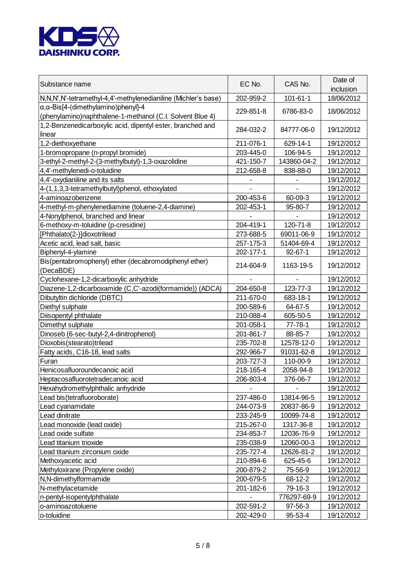

| Substance name                                                                                                | EC No.    | CAS No.        | Date of<br>inclusion |
|---------------------------------------------------------------------------------------------------------------|-----------|----------------|----------------------|
| N, N, N', N'-tetramethyl-4, 4'-methylenedianiline (Michler's base)                                            | 202-959-2 | $101 - 61 - 1$ | 18/06/2012           |
| $\alpha, \alpha$ -Bis[4-(dimethylamino)phenyl]-4<br>(phenylamino)naphthalene-1-methanol (C.I. Solvent Blue 4) | 229-851-8 | 6786-83-0      | 18/06/2012           |
| 1,2-Benzenedicarboxylic acid, dipentyl ester, branched and<br>linear                                          | 284-032-2 | 84777-06-0     | 19/12/2012           |
| 1,2-diethoxyethane                                                                                            | 211-076-1 | 629-14-1       | 19/12/2012           |
| 1-bromopropane (n-propyl bromide)                                                                             | 203-445-0 | 106-94-5       | 19/12/2012           |
| 3-ethyl-2-methyl-2-(3-methylbutyl)-1,3-oxazolidine                                                            | 421-150-7 | 143860-04-2    | 19/12/2012           |
| 4,4'-methylenedi-o-toluidine                                                                                  | 212-658-8 | 838-88-0       | 19/12/2012           |
| 4,4'-oxydianiline and its salts                                                                               |           |                | 19/12/2012           |
| 4-(1,1,3,3-tetramethylbutyl)phenol, ethoxylated                                                               |           |                | 19/12/2012           |
| 4-aminoazobenzene                                                                                             | 200-453-6 | 60-09-3        | 19/12/2012           |
| 4-methyl-m-phenylenediamine (toluene-2,4-diamine)                                                             | 202-453-1 | 95-80-7        | 19/12/2012           |
| 4-Nonylphenol, branched and linear                                                                            |           |                | 19/12/2012           |
| 6-methoxy-m-toluidine (p-cresidine)                                                                           | 204-419-1 | 120-71-8       | 19/12/2012           |
| [Phthalato(2-)]dioxotrilead                                                                                   | 273-688-5 | 69011-06-9     | 19/12/2012           |
| Acetic acid, lead salt, basic                                                                                 | 257-175-3 | 51404-69-4     | 19/12/2012           |
| Biphenyl-4-ylamine                                                                                            | 202-177-1 | $92 - 67 - 1$  | 19/12/2012           |
| Bis(pentabromophenyl) ether (decabromodiphenyl ether)<br>(DecaBDE)                                            | 214-604-9 | 1163-19-5      | 19/12/2012           |
| Cyclohexane-1,2-dicarboxylic anhydride                                                                        |           |                | 19/12/2012           |
| Diazene-1,2-dicarboxamide (C,C'-azodi(formamide)) (ADCA)                                                      | 204-650-8 | 123-77-3       | 19/12/2012           |
| Dibutyltin dichloride (DBTC)                                                                                  | 211-670-0 | 683-18-1       | 19/12/2012           |
| Diethyl sulphate                                                                                              | 200-589-6 | 64-67-5        | 19/12/2012           |
| Diisopentyl phthalate                                                                                         | 210-088-4 | 605-50-5       | 19/12/2012           |
| Dimethyl sulphate                                                                                             | 201-058-1 | $77 - 78 - 1$  | 19/12/2012           |
| Dinoseb (6-sec-butyl-2,4-dinitrophenol)                                                                       | 201-861-7 | 88-85-7        | 19/12/2012           |
| Dioxobis (stearato)trilead                                                                                    | 235-702-8 | 12578-12-0     | 19/12/2012           |
| Fatty acids, C16-18, lead salts                                                                               | 292-966-7 | 91031-62-8     | 19/12/2012           |
| Furan                                                                                                         | 203-727-3 | 110-00-9       | 19/12/2012           |
| Henicosafluoroundecanoic acid                                                                                 | 218-165-4 | 2058-94-8      | 19/12/2012           |
| Heptacosafluorotetradecanoic acid                                                                             | 206-803-4 | 376-06-7       | 19/12/2012           |
| Hexahydromethylphthalic anhydride                                                                             |           |                | 19/12/2012           |
| Lead bis(tetrafluoroborate)                                                                                   | 237-486-0 | 13814-96-5     | 19/12/2012           |
| Lead cyanamidate                                                                                              | 244-073-9 | 20837-86-9     | 19/12/2012           |
| Lead dinitrate                                                                                                | 233-245-9 | 10099-74-8     | 19/12/2012           |
| Lead monoxide (lead oxide)                                                                                    | 215-267-0 | 1317-36-8      | 19/12/2012           |
| Lead oxide sulfate                                                                                            | 234-853-7 | 12036-76-9     | 19/12/2012           |
| Lead titanium trioxide                                                                                        | 235-038-9 | 12060-00-3     | 19/12/2012           |
| Lead titanium zirconium oxide                                                                                 | 235-727-4 | 12626-81-2     | 19/12/2012           |
| Methoxyacetic acid                                                                                            | 210-894-6 | 625-45-6       | 19/12/2012           |
| Methyloxirane (Propylene oxide)                                                                               | 200-879-2 | 75-56-9        | 19/12/2012           |
| N,N-dimethylformamide                                                                                         | 200-679-5 | 68-12-2        | 19/12/2012           |
| N-methylacetamide                                                                                             | 201-182-6 | 79-16-3        | 19/12/2012           |
| n-pentyl-isopentylphthalate                                                                                   |           | 776297-69-9    | 19/12/2012           |
| o-aminoazotoluene                                                                                             | 202-591-2 | 97-56-3        | 19/12/2012           |
| o-toluidine                                                                                                   | 202-429-0 | 95-53-4        | 19/12/2012           |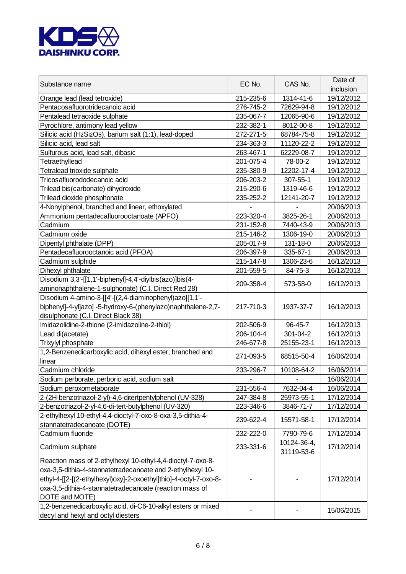

| Substance name                                                    | EC No.    | CAS No.     | Date of<br>inclusion |
|-------------------------------------------------------------------|-----------|-------------|----------------------|
| Orange lead (lead tetroxide)                                      | 215-235-6 | 1314-41-6   | 19/12/2012           |
| Pentacosafluorotridecanoic acid                                   | 276-745-2 | 72629-94-8  | 19/12/2012           |
| Pentalead tetraoxide sulphate                                     | 235-067-7 | 12065-90-6  | 19/12/2012           |
| Pyrochlore, antimony lead yellow                                  | 232-382-1 | 8012-00-8   | 19/12/2012           |
| Silicic acid (H2Si2O5), barium salt (1:1), lead-doped             | 272-271-5 | 68784-75-8  | 19/12/2012           |
| Silicic acid, lead salt                                           | 234-363-3 | 11120-22-2  | 19/12/2012           |
| Sulfurous acid, lead salt, dibasic                                | 263-467-1 | 62229-08-7  | 19/12/2012           |
| Tetraethyllead                                                    | 201-075-4 | 78-00-2     | 19/12/2012           |
| Tetralead trioxide sulphate                                       | 235-380-9 | 12202-17-4  | 19/12/2012           |
| Tricosafluorododecanoic acid                                      | 206-203-2 | 307-55-1    | 19/12/2012           |
| Trilead bis(carbonate) dihydroxide                                | 215-290-6 | 1319-46-6   | 19/12/2012           |
| Trilead dioxide phosphonate                                       | 235-252-2 | 12141-20-7  | 19/12/2012           |
| 4-Nonylphenol, branched and linear, ethoxylated                   |           |             | 20/06/2013           |
| Ammonium pentadecafluorooctanoate (APFO)                          | 223-320-4 | 3825-26-1   | 20/06/2013           |
| Cadmium                                                           | 231-152-8 | 7440-43-9   | 20/06/2013           |
| Cadmium oxide                                                     | 215-146-2 | 1306-19-0   | 20/06/2013           |
| Dipentyl phthalate (DPP)                                          | 205-017-9 | 131-18-0    | 20/06/2013           |
| Pentadecafluorooctanoic acid (PFOA)                               | 206-397-9 | 335-67-1    | 20/06/2013           |
| Cadmium sulphide                                                  | 215-147-8 | 1306-23-6   | 16/12/2013           |
| Dihexyl phthalate                                                 | 201-559-5 | 84-75-3     | 16/12/2013           |
| Disodium 3,3'-[[1,1'-biphenyl]-4,4'-diylbis(azo)]bis(4-           |           |             |                      |
| aminonaphthalene-1-sulphonate) (C.I. Direct Red 28)               | 209-358-4 | 573-58-0    | 16/12/2013           |
| Disodium 4-amino-3-[[4'-[(2,4-diaminophenyl)azo][1,1'-            |           |             |                      |
| biphenyl]-4-yl]azo] -5-hydroxy-6-(phenylazo)naphthalene-2,7-      | 217-710-3 | 1937-37-7   | 16/12/2013           |
| disulphonate (C.I. Direct Black 38)                               |           |             |                      |
| Imidazolidine-2-thione (2-imidazoline-2-thiol)                    | 202-506-9 | 96-45-7     | 16/12/2013           |
| Lead di(acetate)                                                  | 206-104-4 | 301-04-2    | 16/12/2013           |
| Trixylyl phosphate                                                | 246-677-8 | 25155-23-1  | 16/12/2013           |
| 1,2-Benzenedicarboxylic acid, dihexyl ester, branched and         |           |             |                      |
| linear                                                            | 271-093-5 | 68515-50-4  | 16/06/2014           |
| Cadmium chloride                                                  | 233-296-7 | 10108-64-2  | 16/06/2014           |
| Sodium perborate, perboric acid, sodium salt                      |           |             | 16/06/2014           |
| Sodium peroxometaborate                                           | 231-556-4 | 7632-04-4   | 16/06/2014           |
| 2-(2H-benzotriazol-2-yl)-4,6-ditertpentylphenol (UV-328)          | 247-384-8 | 25973-55-1  | 17/12/2014           |
| 2-benzotriazol-2-yl-4,6-di-tert-butylphenol (UV-320)              | 223-346-6 | 3846-71-7   | 17/12/2014           |
| 2-ethylhexyl 10-ethyl-4,4-dioctyl-7-oxo-8-oxa-3,5-dithia-4-       |           |             |                      |
| stannatetradecanoate (DOTE)                                       | 239-622-4 | 15571-58-1  | 17/12/2014           |
| Cadmium fluoride                                                  | 232-222-0 | 7790-79-6   | 17/12/2014           |
|                                                                   |           | 10124-36-4, |                      |
| Cadmium sulphate                                                  | 233-331-6 | 31119-53-6  | 17/12/2014           |
| Reaction mass of 2-ethylhexyl 10-ethyl-4,4-dioctyl-7-oxo-8-       |           |             |                      |
| oxa-3,5-dithia-4-stannatetradecanoate and 2-ethylhexyl 10-        |           |             |                      |
| ethyl-4-[[2-[(2-ethylhexyl)oxy]-2-oxoethyl]thio]-4-octyl-7-oxo-8- |           |             | 17/12/2014           |
| oxa-3,5-dithia-4-stannatetradecanoate (reaction mass of           |           |             |                      |
| DOTE and MOTE)                                                    |           |             |                      |
| 1,2-benzenedicarboxylic acid, di-C6-10-alkyl esters or mixed      |           |             |                      |
| decyl and hexyl and octyl diesters                                |           |             | 15/06/2015           |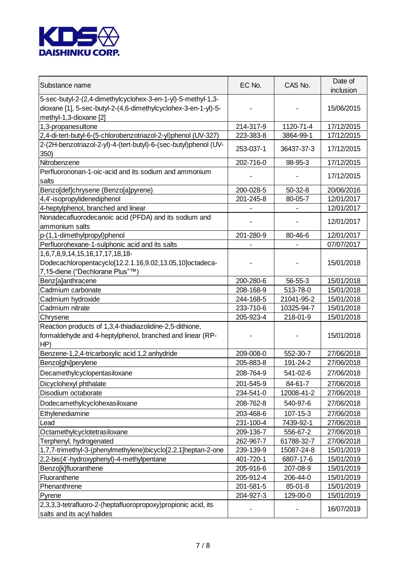

| Substance name                                                                                                                                           | EC No.    | CAS No.       | Date of<br>inclusion |
|----------------------------------------------------------------------------------------------------------------------------------------------------------|-----------|---------------|----------------------|
| 5-sec-butyl-2-(2,4-dimethylcyclohex-3-en-1-yl)-5-methyl-1,3-<br>dioxane [1], 5-sec-butyl-2-(4,6-dimethylcyclohex-3-en-1-yl)-5-<br>methyl-1,3-dioxane [2] |           |               | 15/06/2015           |
| 1,3-propanesultone                                                                                                                                       | 214-317-9 | 1120-71-4     | 17/12/2015           |
| 2,4-di-tert-butyl-6-(5-chlorobenzotriazol-2-yl)phenol (UV-327)                                                                                           | 223-383-8 | 3864-99-1     | 17/12/2015           |
| 2-(2H-benzotriazol-2-yl)-4-(tert-butyl)-6-(sec-butyl)phenol (UV-                                                                                         |           |               |                      |
| 350)                                                                                                                                                     | 253-037-1 | 36437-37-3    | 17/12/2015           |
| Nitrobenzene                                                                                                                                             | 202-716-0 | 98-95-3       | 17/12/2015           |
| Perfluorononan-1-oic-acid and its sodium and ammonium<br>salts                                                                                           |           |               | 17/12/2015           |
| Benzo[def]chrysene (Benzo[a]pyrene)                                                                                                                      | 200-028-5 | $50-32-8$     | 20/06/2016           |
| 4,4'-isopropylidenediphenol                                                                                                                              | 201-245-8 | 80-05-7       | 12/01/2017           |
| 4-heptylphenol, branched and linear                                                                                                                      |           |               | 12/01/2017           |
| Nonadecafluorodecanoic acid (PFDA) and its sodium and                                                                                                    |           |               |                      |
| ammonium salts                                                                                                                                           |           |               | 12/01/2017           |
| p-(1,1-dimethylpropyl)phenol                                                                                                                             | 201-280-9 | 80-46-6       | 12/01/2017           |
| Perfluorohexane-1-sulphonic acid and its salts                                                                                                           |           |               | 07/07/2017           |
| 1,6,7,8,9,14,15,16,17,17,18,18-                                                                                                                          |           |               |                      |
| Dodecachloropentacyclo[12.2.1.16,9.02,13.05,10]octadeca-                                                                                                 |           |               | 15/01/2018           |
| 7,15-diene ("Dechlorane Plus"™)                                                                                                                          |           |               |                      |
| Benz[a]anthracene                                                                                                                                        | 200-280-6 | $56 - 55 - 3$ | 15/01/2018           |
| Cadmium carbonate                                                                                                                                        | 208-168-9 | 513-78-0      | 15/01/2018           |
| Cadmium hydroxide                                                                                                                                        | 244-168-5 | 21041-95-2    | 15/01/2018           |
| Cadmium nitrate                                                                                                                                          | 233-710-6 | 10325-94-7    | 15/01/2018           |
| Chrysene                                                                                                                                                 | 205-923-4 | 218-01-9      | 15/01/2018           |
| Reaction products of 1,3,4-thiadiazolidine-2,5-dithione,<br>formaldehyde and 4-heptylphenol, branched and linear (RP-<br>HP)                             |           |               | 15/01/2018           |
| Benzene-1,2,4-tricarboxylic acid 1,2 anhydride                                                                                                           | 209-008-0 | 552-30-7      | 27/06/2018           |
| Benzo[ghi]perylene                                                                                                                                       | 205-883-8 | 191-24-2      | 27/06/2018           |
| Decamethylcyclopentasiloxane                                                                                                                             | 208-764-9 | 541-02-6      | 27/06/2018           |
| Dicyclohexyl phthalate                                                                                                                                   | 201-545-9 | 84-61-7       | 27/06/2018           |
| Disodium octaborate                                                                                                                                      | 234-541-0 | 12008-41-2    | 27/06/2018           |
| Dodecamethylcyclohexasiloxane                                                                                                                            | 208-762-8 | 540-97-6      | 27/06/2018           |
| Ethylenediamine                                                                                                                                          | 203-468-6 | 107-15-3      | 27/06/2018           |
| Lead                                                                                                                                                     | 231-100-4 | 7439-92-1     | 27/06/2018           |
| Octamethylcyclotetrasiloxane                                                                                                                             | 209-136-7 | 556-67-2      | 27/06/2018           |
| Terphenyl, hydrogenated                                                                                                                                  | 262-967-7 | 61788-32-7    | 27/06/2018           |
| 1,7,7-trimethyl-3-(phenylmethylene)bicyclo[2.2.1]heptan-2-one                                                                                            | 239-139-9 | 15087-24-8    | 15/01/2019           |
| 2,2-bis(4'-hydroxyphenyl)-4-methylpentane                                                                                                                | 401-720-1 | 6807-17-6     | 15/01/2019           |
| Benzo[k]fluoranthene                                                                                                                                     | 205-916-6 | 207-08-9      | 15/01/2019           |
| Fluoranthene                                                                                                                                             | 205-912-4 | 206-44-0      | 15/01/2019           |
| Phenanthrene                                                                                                                                             | 201-581-5 | 85-01-8       | 15/01/2019           |
| Pyrene                                                                                                                                                   | 204-927-3 | 129-00-0      | 15/01/2019           |
| 2,3,3,3-tetrafluoro-2-(heptafluoropropoxy)propionic acid, its<br>salts and its acyl halides                                                              |           |               | 16/07/2019           |